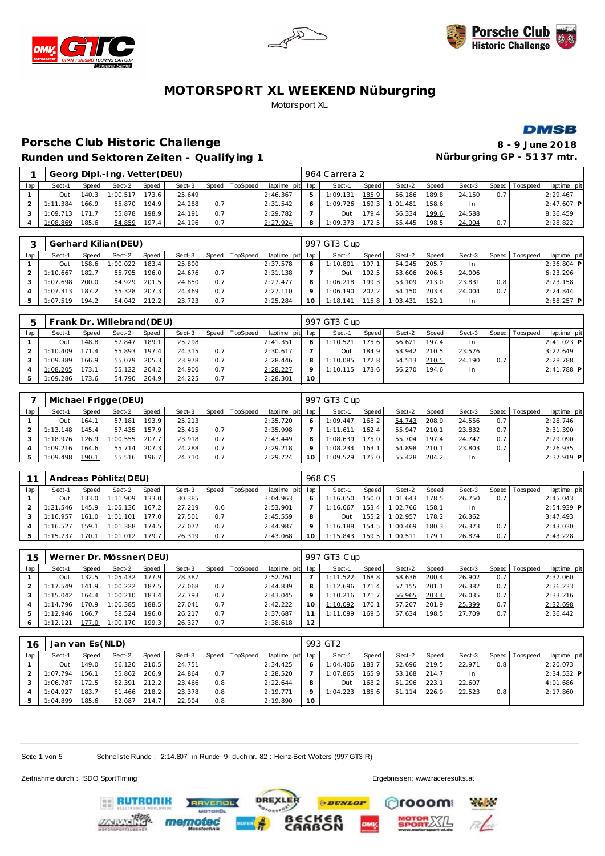







#### Porsche Club Historic Challenge **8** - 9 June 2018 **Runden und Sektoren Zeiten - Qualif**

| fying 1  |         |      |     |               |       |        |              | Nürburgring GP - 5137 mtr. |                 |         |      |
|----------|---------|------|-----|---------------|-------|--------|--------------|----------------------------|-----------------|---------|------|
|          |         |      |     | 964 Carrera 2 |       |        |              |                            |                 |         |      |
| TopSpeed | laptime | pitl | lap | Sect-1        | Speed | Sect-2 | <b>Speed</b> | Sect-3                     | Speed Tops peed | laptime | pitl |

|     |          |       | Georg Dipl.-Ing. Vetter (DEU) |       |        |       |                 |                 | 964 Carrera 2 |       |          |       |        |     |                 |              |
|-----|----------|-------|-------------------------------|-------|--------|-------|-----------------|-----------------|---------------|-------|----------|-------|--------|-----|-----------------|--------------|
| lap | Sect-1   | Speed | Sect-2                        | Speed | Sect-3 | Speed | <b>TopSpeed</b> | laptime pit lap | Sect-1        | Speed | Sect-2   | Speed | Sect-3 |     | Speed Tops peed | laptime pit  |
|     | Out      | 140.3 | 1:00.517                      | 173.6 | 25.649 |       |                 | 2:46.367        | 1:09.131      | 185.9 | 56.186   | 189.8 | 24.150 | 0.7 |                 | 2:29.467     |
|     | 1:11.384 | 166.9 | 55.870                        | 194.9 | 24.288 | 0.7   |                 | 2:31.542        | 1:09.726      | 169.3 | 1:01.481 | 158.6 | In     |     |                 | $2:47.607$ P |
|     | 1:09.713 | 171.7 | 55.878                        | 198.9 | 24.191 | 0.7   |                 | 2:29.782        | Out           | 179.4 | 56.334   | 199.6 | 24.588 |     |                 | 8:36.459     |
|     | 1:08.869 | 185.6 | 54.859                        | 197.4 | 24.196 | 0.7   |                 | 2:27.924        | :09.373       | 172.5 | 55.445   | 198.5 | 24.004 | 0.7 |                 | 2:28.822     |

|     |          |       | Gerhard Kilian (DEU) |       |        |     |                |                 |         | 997 GT3 Cup |       |          |       |        |       |             |              |
|-----|----------|-------|----------------------|-------|--------|-----|----------------|-----------------|---------|-------------|-------|----------|-------|--------|-------|-------------|--------------|
| lap | Sect-1   | Speed | Sect-2               | Speed | Sect-3 |     | Speed TopSpeed | laptime pit lap |         | Sect-'      | Speed | Sect-2   | Speed | Sect-3 | Speed | T ops pee d | laptime pit  |
|     | Out      | 158.6 | 1:00.022             | 183.4 | 25,800 |     |                | 2:37.578        | 6       | 1:10.801    | 197.1 | 54.245   | 205.7 | In.    |       |             | $2:36.804$ P |
|     | 1:10.667 | 182.7 | 55.795               | 196.0 | 24.676 | 0.7 |                | 2:31.138        |         | Out         | 192.5 | 53.606   | 206.5 | 24.006 |       |             | 6:23.296     |
|     | 1:07.698 | 200.0 | 54.929               | 201.5 | 24.850 | 0.7 |                | 2:27.477        | 8       | 1:06.218    | 199.3 | 53.109   | 213.0 | 23.831 | 0.8   |             | 2:23.158     |
|     | 1:07.313 | 187.2 | 55.328               | 207.3 | 24.469 | 0.7 |                | 2:27.110        | $\circ$ | 1:06.190    | 202.2 | 54.150   | 203.4 | 24.004 | 0.7   |             | 2:24.344     |
|     | 1:07.519 | 194.2 | 54.042               | 212.2 | 23.723 | 0.7 |                | 2:25.284        | 10      | 1:18.141    | 15.8  | 1:03.431 | 152.1 | In     |       |             | $2:58.257$ P |

|     |          |       | Frank Dr. Willebrand (DEU) |       |        |     |                |                 |         | 997 GT3 Cup |       |        |       |        |     |                |              |
|-----|----------|-------|----------------------------|-------|--------|-----|----------------|-----------------|---------|-------------|-------|--------|-------|--------|-----|----------------|--------------|
| lap | Sect-1   | Speed | Sect-2                     | Speed | Sect-3 |     | Speed TopSpeed | laptime pit lap |         | Sect-1      | Speed | Sect-2 | Speed | Sect-3 |     | Speed Topspeed | laptime pit  |
|     | Out      | 48.8  | 57.847                     | 189.1 | 25.298 |     |                | 2: 41.351       | 6       | 1:10.521    | 175.6 | 56.621 | 197.4 | In.    |     |                | $2:41.023$ P |
|     | 1:10.409 | 171.4 | 55.893                     | 197.4 | 24.315 | 0.7 |                | 2:30.617        |         | Out         | 184.9 | 53.942 | 210.5 | 23.576 |     |                | 3:27.649     |
|     | 1:09.389 | 166.9 | 55.079                     | 205.3 | 23.978 | 0.7 |                | 2:28.446        | 8       | 1:10.085    | 172.8 | 54.513 | 210.5 | 24.190 | 0.7 |                | 2:28.788     |
|     | 1:08.205 | 173.1 | 55.122                     | 204.2 | 24.900 | 0.7 |                | 2:28.227        | $\circ$ | 1:10.115    | 173.6 | 56.270 | 194.6 | In.    |     |                | $2:41.788$ P |
|     | 1:09.286 | 73.6  | 54.790                     | 204.9 | 24.225 | 0.7 |                | 2:28.301        | 10      |             |       |        |       |        |     |                |              |

|     |          |       | Michael Frigge (DEU) |       |        |       |          |                 |    | 997 GT3 Cup |       |        |       |        |     |                |              |
|-----|----------|-------|----------------------|-------|--------|-------|----------|-----------------|----|-------------|-------|--------|-------|--------|-----|----------------|--------------|
| lap | Sect-1   | Speed | Sect-2               | Speed | Sect-3 | Speed | TopSpeed | laptime pit lap |    | Sect-1      | Speed | Sect-2 | Speed | Sect-3 |     | Speed Topspeed | laptime pit  |
|     | Out      | 164.1 | 57.181               | 193.9 | 25.213 |       |          | 2:35.720        |    | 1:09.447    | 168.2 | 54.743 | 208.9 | 24.556 | 0.7 |                | 2:28.746     |
|     | 1:13.148 | 145.4 | 57.435               | 157.9 | 25.415 | 0.7   |          | 2:35.998        |    | 1:11.611    | 162.4 | 55.947 | 210.1 | 23.832 | 0.7 |                | 2:31.390     |
|     | 1:18.976 | 126.9 | 1:00.555             | 207.7 | 23.918 | 0.7   |          | 2:43.449        | 8  | 1:08.639    | 175.0 | 55.704 | 197.4 | 24.747 | 0.7 |                | 2:29.090     |
|     | 1:09.216 | 164.6 | 55.714               | 207.3 | 24.288 | 0.7   |          | 2:29.218        |    | 1:08.234    | 163.1 | 54.898 | 210.1 | 23.803 | 0.7 |                | 2:26.935     |
|     | 1:09.498 | 190.1 | 55.516               | 196.7 | 24.710 | 0.7   |          | 2:29.724        | 10 | 1:09.529    | 175.0 | 55.428 | 204.2 | In     |     |                | $2:37.919$ P |

|     |           |         | Andreas Pöhlitz (DEU) |       |        |     |                  |             |         | 968 C.S  |       |          |       |        |     |                 |              |
|-----|-----------|---------|-----------------------|-------|--------|-----|------------------|-------------|---------|----------|-------|----------|-------|--------|-----|-----------------|--------------|
| lap | Sect-1    | Speed   | Sect-2                | Speed | Sect-3 |     | Speed   TopSpeed | laptime pit | lap     | Sect-1   | Speed | Sect-2   | Speed | Sect-3 |     | Speed Tops peed | laptime pit  |
|     | Out       | 133.0 L | 1:11.909              | 133.0 | 30.385 |     |                  | 3:04.963    | 6       | 1:16.650 | 150.0 | 1:01.643 | 178.5 | 26.750 | 0.7 |                 | 2:45.043     |
|     | l: 21.546 | 145.9   | 1:05.136              | 167.2 | 27.219 | 0.6 |                  | 2:53.901    |         | 1:16.667 | 153.4 | 1:02.766 | 158.1 | In.    |     |                 | $2:54.939$ P |
|     | 1:16.957  | 161.0   | 1:01.101              | 177.0 | 27.501 | 0.7 |                  | 2:45.559    | 8       | Out      | 155.2 | 1:02.957 | 178.2 | 26.362 |     |                 | 3:47.493     |
|     | 1:16.527  | 159.1   | 1:01.388              | 174.5 | 27.072 | 0.7 |                  | 2:44.987    | $\circ$ | 1:16.188 | 154.5 | 1:00.469 | 180.3 | 26.373 | 0.7 |                 | 2:43.030     |
|     | 1:15.737  | 70      | 1:01.012              | 179.7 | 26.319 | 0.7 |                  | 2:43.068    | 10      | 1:15.843 | 159.5 | : 00.511 | 179.1 | 26.874 | 0.7 |                 | 2:43.228     |

| 15  |           |       | Werner Dr. Mössner (DEU) |       |        |     |                |                 |     | 997 GT3 Cup  |       |        |         |        |                  |                 |             |
|-----|-----------|-------|--------------------------|-------|--------|-----|----------------|-----------------|-----|--------------|-------|--------|---------|--------|------------------|-----------------|-------------|
| lap | Sect-1    | Speed | Sect-2                   | Speed | Sect-3 |     | Speed TopSpeed | laptime pit lap |     | Sect-1       | Speed | Sect-2 | Speed ! | Sect-3 |                  | Speed Tops peed | laptime pit |
|     | Out       | 132.5 | 1:05.432                 | 177.9 | 28.387 |     |                | 2:52.261        |     | 1:11.522     | 168.8 | 58.636 | 200.4   | 26.902 | 0.7              |                 | 2:37.060    |
|     | l: 17.549 | 141.9 | 1:00.222                 | 187.5 | 27.068 | 0.7 |                | 2:44.839        | 8   | 1:12.696     | 171.4 | 57.155 | 201.1   | 26.382 | 0.7              |                 | 2:36.233    |
|     | 1:15.042  | 164.4 | 1:00.210                 | 183.4 | 27.793 | 0.7 |                | 2:43.045        |     | 1:10.216     | 171.7 | 56.965 | 203.4   | 26.035 | 0.7 <sup>1</sup> |                 | 2:33.216    |
|     | 1:14.796  | 170.9 | 1:00.385                 | 188.5 | 27.041 | 0.7 |                | 2:42.222        | 1 O | 1:10.092     | 170.1 | 57.207 | 201.9   | 25.399 | 0.7              |                 | 2:32.698    |
|     | 1:12.946  | 166.7 | 58.524                   | 196.0 | 26.217 | 0.7 |                | 2:37.687        |     | .099<br>1:11 | 169.5 | 57.634 | 198.5   | 27.709 | 0.7              |                 | 2:36.442    |
| 6   | 1:12.121  |       | .170<br>$:$ OO.          | 199.3 | 26.327 | 0.7 |                | 2:38.618        | 12  |              |       |        |         |        |                  |                 |             |

| 16  | Jan van Es (NLD) |       |        |       |        |       |          |                 |    | 993 GT2  |       |        |       |        |       |           |              |
|-----|------------------|-------|--------|-------|--------|-------|----------|-----------------|----|----------|-------|--------|-------|--------|-------|-----------|--------------|
| lap | Sect-1           | Speed | Sect-2 | Speed | Sect-3 | Speed | TopSpeed | laptime pit lap |    | Sect-1   | Speed | Sect-2 | Speed | Sect-3 | Speed | Tops peed | laptime pit  |
|     | Out              | 149.0 | 56.120 | 210.5 | 24.751 |       |          | 2:34.425        |    | 1:04.406 | 183.7 | 52.696 | 219.5 | 22.971 | 0.8   |           | 2:20.073     |
|     | 1:07.794         | 156.1 | 55.862 | 206.9 | 24.864 | 0.7   |          | 2:28.520        |    | 1:07.865 | 165.9 | 53.168 | 214.7 | In     |       |           | $2:34.532$ P |
|     | 1:06.787         | 172.5 | 52.391 | 212.2 | 23.466 | 0.8   |          | 2:22.644        |    | Out      | 168.2 | 51.296 | 223.1 | 22.607 |       |           | 4:01.686     |
|     | 1:04.927         | 183.7 | 51.466 | 218.2 | 23.378 | 0.8   |          | 2:19.771        |    | 1:04.223 | 185.6 | 51.114 | 226.9 | 22.523 | 0.8   |           | 2:17.860     |
| 5   | 1:04.899         | 185.6 | 52.087 | 214.7 | 22.904 | 0.8   |          | 2:19.890        | 10 |          |       |        |       |        |       |           |              |

Seite 1 von 5 Schnellste Runde : 2:14.807 in Runde 9 duch nr. 82 : Heinz-Bert Walters (997 GT3 R)

**EE RUTRONIK** 

Zeitnahme durch : SDO SportTiming Ergebnissen: [www.raceresults.a](www.raceresults.at)t



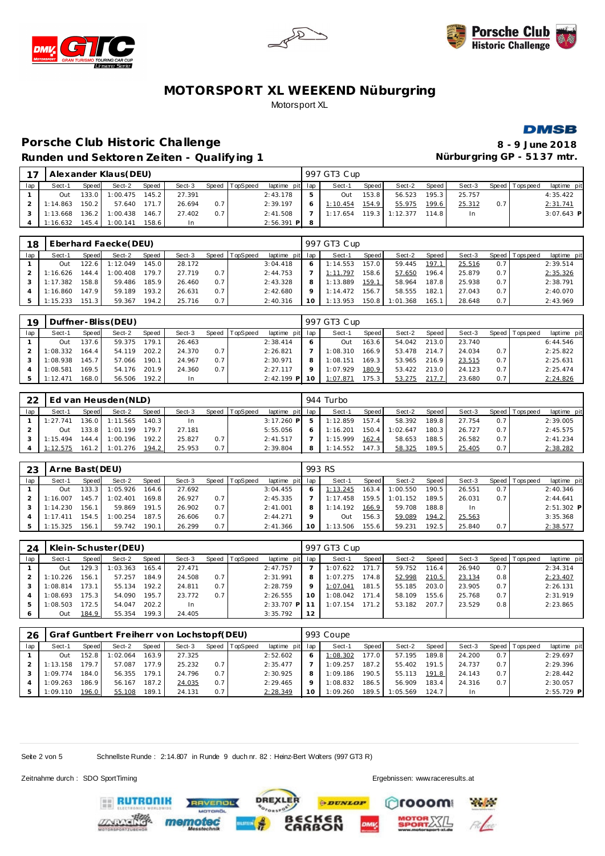







## Porsche Club Historic Challenge **8** - 9 June 2018 Runden und Sektoren Zeiten - Qualifying 1 **Nürburgring GP - 5137 mtr.**

| $\overline{ }$ |          |       | Alexander Klaus (DEU) |       |        |       |          |                 |   | 997 GT3 Cup |       |          |                    |        |                  |                 |              |
|----------------|----------|-------|-----------------------|-------|--------|-------|----------|-----------------|---|-------------|-------|----------|--------------------|--------|------------------|-----------------|--------------|
| lap            | Sect-1   | Speed | Sect-2                | Speed | Sect-3 | Speed | TopSpeed | laptime pit lap |   | Sect-1      | Speed | Sect-2   | Speed              | Sect-3 |                  | Speed Tops peed | laptime pit  |
|                | Out      |       | 133.0 1:00.475        | 145.2 | 27.391 |       |          | 2:43.178        |   | Out         | 153.8 | 56.523   | 195.3              | 25.757 |                  |                 | 4:35.422     |
|                | 1:14.863 | 150.2 | 57.640                | 171.7 | 26.694 | 0.7   |          | 2:39.197        |   | 1:10.454    | 154.9 | 55.975   | 199.6 <sub>1</sub> | 25.312 | 0.7 <sup>1</sup> |                 | 2:31.741     |
|                | 1:13.668 |       | $136.2$   1:00.438    | 146.7 | 27.402 | 0.7   |          | 2:41.508        |   | 1:17.654    | 119.3 | 1:12.377 | 114.8              | In.    |                  |                 | $3:07.643$ P |
|                | 1:16.632 | 145.4 | 1:00.141              | 158.6 |        |       |          | $2:56.391$ P    | 8 |             |       |          |                    |        |                  |                 |              |

| 18  |          |       | Eberhard Faecke (DEU) |       |        |     |                  |                 |         | 997 GT3 Cup |       |          |       |        |     |                 |             |
|-----|----------|-------|-----------------------|-------|--------|-----|------------------|-----------------|---------|-------------|-------|----------|-------|--------|-----|-----------------|-------------|
| lap | Sect-1   | Speed | Sect-2                | Speed | Sect-3 |     | Speed   TopSpeed | laptime pit lap |         | Sect-1      | Speed | Sect-2   | Speed | Sect-3 |     | Speed Tops peed | laptime pit |
|     | Out      | 122.6 | 1:12.049              | 145.0 | 28.172 |     |                  | 3:04.418        |         | 1:14.553    | 157.0 | 59.445   | 197.1 | 25.516 | 0.7 |                 | 2:39.514    |
|     | 1:16.626 | 144.4 | 1:00.408              | 179.7 | 27.719 | 0.7 |                  | 2:44.753        |         | 1:11.797    | 158.6 | 57.650   | 196.4 | 25.879 | 0.7 |                 | 2:35.326    |
|     | 1:17.382 | 158.8 | 59.486                | 185.9 | 26.460 | 0.7 |                  | 2:43.328        |         | 1:13.889    | 159.1 | 58.964   | 187.8 | 25.938 | 0.7 |                 | 2:38.791    |
|     | 1:16.860 | 47.9  | 59.189                | 193.2 | 26.631 | 0.7 |                  | 2:42.680        | $\circ$ | 1:14.472    | 156.7 | 58.555   | 182.1 | 27.043 | 0.7 |                 | 2:40.070    |
|     | 1:15.233 | 151.3 | 59.367                | 194.2 | 25.716 | 0.7 |                  | 2:40.316        | 10      | 1:13.953    | 150.8 | 1:01.368 | 165.1 | 28.648 | 0.7 |                 | 2:43.969    |

| 19  |          |       | Duffner-Bliss (DEU) |              |        |     |                  |              |     | 997 GT3 Cup |       |        |       |        |              |            |             |
|-----|----------|-------|---------------------|--------------|--------|-----|------------------|--------------|-----|-------------|-------|--------|-------|--------|--------------|------------|-------------|
| lap | Sect-1   | Speed | Sect-2              | <b>Speed</b> | Sect-3 |     | Speed   TopSpeed | laptime pit  | lap | Sect-1      | Speed | Sect-2 | Speed | Sect-3 | <b>Speed</b> | Tops pee d | laptime pit |
|     | Out      | 37.6  | 59.375              | 179.1        | 26.463 |     |                  | 2:38.414     | 6   | Out         | 163.6 | 54.042 | 213.0 | 23.740 |              |            | 6:44.546    |
|     | :08.332  | 164.4 | 54.119              | 202.2        | 24.370 | 0.7 |                  | 2:26.821     |     | 1:08.310    | 166.9 | 53.478 | 214.7 | 24.034 | 0.7          |            | 2:25.822    |
|     | : 08.938 | 145.7 | 57.066              | 190.1        | 24.967 | 0.7 |                  | 2:30.971     | 8   | 1:08.151    | 169.3 | 53.965 | 216.9 | 23.515 | 0.7          |            | 2:25.631    |
|     | :08.581  | 169.5 | 54.176              | 201.9        | 24.360 | 0.7 |                  | 2:27.117     | Q   | 1:07.929    | 180.9 | 53.422 | 213.0 | 24.123 | 0.7          |            | 2:25.474    |
|     | 1:12.471 | 168.0 | 56.506              | 192.2        | In     |     |                  | $2:42.199$ P | 10  | 1:07.871    | 175.3 | 53.275 | 217.7 | 23.680 | 0.7          |            | 2:24.826    |

| 22  |          |       | Ed van Heusden (NLD) |              |        |       |          |                 | 944 Turbo |                    |          |       |        |     |                 |             |
|-----|----------|-------|----------------------|--------------|--------|-------|----------|-----------------|-----------|--------------------|----------|-------|--------|-----|-----------------|-------------|
| lap | Sect-1   | Speed | Sect-2               | <b>Speed</b> | Sect-3 | Speed | TopSpeed | laptime pit lap | Sect-1    | Speed I            | Sect-2   | Speed | Sect-3 |     | Speed Tops peed | laptime pit |
|     | 1:27.741 | 136.0 | 1:11.565             | 140.3        | -In    |       |          | $3:17.260$ P    | 1:12.859  | 157.4              | 58.392   | 189.8 | 27.754 | 0.7 |                 | 2:39.005    |
|     | Out      | 133.8 | 1:01.199             | 179.7        | 27.181 |       |          | 5:55.056        | 1:16.201  | 150.4              | 1:02.647 | 180.3 | 26.727 | 0.7 |                 | 2:45.575    |
|     | 1:15.494 | 144.4 | 1:00.196             | 192.2        | 25.827 | 0.7   |          | 2:41.517        | 1:15.999  | 162.4              | 58.653   | 188.5 | 26.582 | 0.7 |                 | 2:41.234    |
|     | 1:12.575 | 161.2 | 1:01.276             | 194.2        | 25.953 | 0.7   |          | 2:39.804        | 1:14.552  | 147.3 <sub>1</sub> | 58.325   | 189.5 | 25.405 | 0.7 |                 | 2:38.282    |

| 23  | Arne Bast (DEU) |       |          |        |        |       |                 |                 | 993 RS   |                    |          |       |        |     |                   |             |  |
|-----|-----------------|-------|----------|--------|--------|-------|-----------------|-----------------|----------|--------------------|----------|-------|--------|-----|-------------------|-------------|--|
| lap | Sect-1          | Speed | Sect-2   | Speed  | Sect-3 | Speed | <b>TopSpeed</b> | laptime pit lap | Sect-1   | Speed I            | Sect-2   | Speed | Sect-3 |     | Speed   Tops peed | laptime pit |  |
|     | Out             | 133.3 | 1:05.926 | 164.61 | 27.692 |       |                 | 3:04.455        | 1:13.245 | 163.4              | 1:00.550 | 190.5 | 26.551 | 0.7 |                   | 2:40.346    |  |
|     | 1:16.007        | 145.7 | 1:02.401 | 169.8  | 26.927 | 0.7   |                 | 2:45.335        | 1:17.458 | 159.5              | 1:01.152 | 189.5 | 26.031 | 0.7 |                   | 2:44.641    |  |
|     | 1:14.230        | 156.1 | 59.869   | 191.5  | 26.902 | 0.7   |                 | 2:41.001        | 1:14.192 | 166.91             | 59.708   | 188.8 | In     |     |                   | 2:51.302 P  |  |
|     | 1:17.411        | 154.5 | 1:00.254 | 187.5  | 26.606 | 0.7   |                 | 2:44.271        | Out      | 156.3 <sub>1</sub> | 59.089   | 194.2 | 25.563 |     |                   | 3:35.368    |  |
|     | 1:15.325        | 156.7 | 59.742   | 190.1  | 26.299 | 0.7   |                 | 2: 41.366       | 1:13.506 | 155.6              | 59.231   | 192.5 | 25.840 | 0.7 |                   | 2:38.577    |  |

| 24  |          |       | Klein-Schuster (DEU) |       |        |       |          |                 |         | 997 GT3 Cup |       |        |       |        |                  |                |             |
|-----|----------|-------|----------------------|-------|--------|-------|----------|-----------------|---------|-------------|-------|--------|-------|--------|------------------|----------------|-------------|
| lap | Sect-1   | Speed | Sect-2               | Speed | Sect-3 | Speed | TopSpeed | laptime pit lap |         | Sect-1      | Speed | Sect-2 | Speed | Sect-3 |                  | Speed Topspeed | laptime pit |
|     | Out      | 129.3 | 1:03.363             | 165.4 | 27.471 |       |          | 2:47.757        |         | 1:07.622    | 171.7 | 59.752 | 116.4 | 26.940 | 0.7              |                | 2:34.314    |
|     | 1:10.226 | 156.1 | 57.257               | 184.9 | 24.508 | 0.7   |          | 2:31.991        | 8       | 1:07.275    | 174.8 | 52.998 | 210.5 | 23.134 | $0.8^{\circ}$    |                | 2:23.407    |
|     | 1:08.814 | 173.1 | 55.134               | 192.2 | 24.811 | 0.7   |          | 2:28.759        | $\circ$ | 1:07.041    | 181.5 | 55.185 | 203.0 | 23.905 | 0.7 <sub>1</sub> |                | 2:26.131    |
|     | 1:08.693 | 175.3 | 54.090               | 195.7 | 23.772 | 0.7   |          | 2:26.555        | 1 O     | 1:08.042    | 171.4 | 58.109 | 155.6 | 25.768 | 0.7              |                | 2:31.919    |
|     | 1:08.503 | '72.5 | 54.047               | 202.2 | In.    |       |          | 2:33.707<br>РI  |         | 1:07.154    | 171.2 | 53.182 | 207.7 | 23.529 | 0.8              |                | 2:23.865    |
|     | Out      | 184.9 | 55.354               | 199.3 | 24.405 |       |          | 3:35.792        | 12      |             |       |        |       |        |                  |                |             |

| 26  |          |        |          |       | Graf Guntbert Freiherr von Lochstopf(DEU) |     |                  |             |         | 993 Coupe |       |          |       |        |     |                |              |
|-----|----------|--------|----------|-------|-------------------------------------------|-----|------------------|-------------|---------|-----------|-------|----------|-------|--------|-----|----------------|--------------|
| lap | Sect-1   | Speed  | Sect-2   | Speed | Sect-3                                    |     | Speed   TopSpeed | laptime pit | lap     | Sect-1    | Speed | Sect-2   | Speed | Sect-3 |     | Speed Topspeed | laptime pit  |
|     | Out      | 152.81 | 1:02.064 | 163.9 | 27.325                                    |     |                  | 2:52.602    | 6       | 1:08.302  | 177.0 | 57.195   | 189.8 | 24.200 | 0.7 |                | 2:29.697     |
|     | 1:13.158 | 79.7   | 57.087   | 177.9 | 25.232                                    | 0.7 |                  | 2:35.477    |         | 1:09.257  | 187.2 | 55.402   | 191.5 | 24.737 | 0.7 |                | 2:29.396     |
|     | 1:09.774 | 184.0  | 56.355   | 179.1 | 24.796                                    | 0.7 |                  | 2:30.925    | 8       | 1:09.186  | 190.5 | 55.113   | 191.8 | 24.143 | 0.7 |                | 2:28.442     |
|     | 1:09.263 | 186.9  | 56.167   | 187.2 | 24.035                                    | 0.7 |                  | 2:29.465    | $\circ$ | 1:08.832  | 186.5 | 56.909   | 183.4 | 24.316 | 0.7 |                | 2:30.057     |
|     | 1:09.110 | 196.0  | 55.108   | 189.1 | 24.131                                    | 0.7 |                  | 2:28.349    | 10      | 1:09.260  | 189.5 | 1:05.569 | 124.7 | -In    |     |                | $2:55.729$ P |

DREXLER

**PDUNLOP** 

ៜ៓

Seite 2 von 5 Schnellste Runde : 2:14.807 in Runde 9 duch nr. 82 : Heinz-Bert Walters (997 GT3 R)

**TVENDL** 

Zeitnahme durch : SDO SportTiming Ergebnissen: [www.raceresults.a](www.raceresults.at)t

**EE RUTRONIK** 

rooom

**Particular**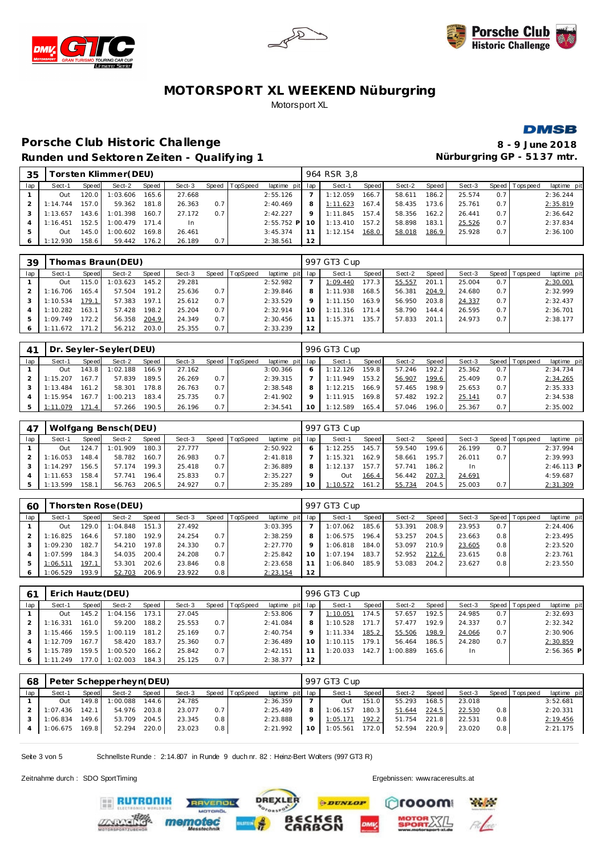





#### **DMSB**

# Porsche Club Historic Challenge **8** - 9 June 2018 **Runden und Sektoren Ze iten - Qualify ing 1 Nürburgring GP - 51 37 mtr.**

| 35  |          |        | 「orsten Klimmer(DEU) |       |        |       |          |                 |         | 964 RSR 3.8 |       |        |       |        |         |                  |             |
|-----|----------|--------|----------------------|-------|--------|-------|----------|-----------------|---------|-------------|-------|--------|-------|--------|---------|------------------|-------------|
| lap | Sect-1   | Speed  | Sect-2               | Speed | Sect-3 | Speed | TopSpeed | laptime pit lap |         | Sect-1      | Speed | Sect-2 | Speed | Sect-3 | Speed I | <b>Tops peed</b> | laptime pit |
|     | Out      | 120.0  | 1:03.606             | 165.6 | 27.668 |       |          | 2:55.126        |         | 1:12.059    | 166.7 | 58.611 | 186.2 | 25.574 | 0.7     |                  | 2:36.244    |
|     | 1:14.744 | 157.01 | 59.362               | 181.8 | 26.363 | 0.7   |          | 2:40.469        | 8       | 1:11.623    | 167.4 | 58.435 | 173.6 | 25.761 | 0.7     |                  | 2:35.819    |
|     | 1:13.657 | 143.6  | 1:01.398             | 160.7 | 27.172 | 0.7   |          | 2:42.227        | $\circ$ | 1:11.845    | 157.4 | 58.356 | 162.2 | 26.441 | 0.7     |                  | 2:36.642    |
|     | 1:16.451 | 152.5  | 1:00.479             | 171.4 |        |       |          | $2:55.752$ P    |         | 1:13.410    | 157.2 | 58.898 | 183.1 | 25.526 | 0.7     |                  | 2:37.834    |
|     | Out      | 145.0  | 1:00.602             | 169.8 | 26.461 |       |          | 3:45.374        |         | 1:12.154    | 168.0 | 58.018 | 186.9 | 25.928 | 0.7     |                  | 2:36.100    |
|     | 1:12.930 | 158.6  | 59.442               | 176.2 | 26.189 | 0.7   |          | 2:38.561        | 12      |             |       |        |       |        |         |                  |             |

| 39  |              |                        | [homas Braun(DEU) |                    |        |       |          |                 |         | 997 GT3 Cup |       |        |       |        |     |                   |             |
|-----|--------------|------------------------|-------------------|--------------------|--------|-------|----------|-----------------|---------|-------------|-------|--------|-------|--------|-----|-------------------|-------------|
| lap | Sect-1       | Speed                  | Sect-2            | Speed              | Sect-3 | Speed | TopSpeed | laptime pit lap |         | Sect-1      | Speed | Sect-2 | Speed | Sect-3 |     | Speed   Tops peed | laptime pit |
|     | Out          | 15.0                   | :03.623           | 145.2              | 29.281 |       |          | 2:52.982        |         | 1:09.440    | 177.3 | 55.557 | 201.1 | 25.004 | 0.7 |                   | 2:30.001    |
|     | 1:16.706     | 165.4                  | 57.504            | 191.2 <sub>1</sub> | 25.636 | 0.7   |          | 2:39.846        |         | 1:11.938    | 168.5 | 56.381 | 204.9 | 24.680 | 0.7 |                   | 2:32.999    |
|     | 1:10.534     | 179.1                  | 57.383            | 197.1              | 25.612 | 0.7   |          | 2:33.529        | $\circ$ | 1:11.150    | 163.9 | 56.950 | 203.8 | 24.337 | 0.7 |                   | 2:32.437    |
|     | 1:10.282     | 163.1                  | 57.428            | 198.2              | 25.204 | 0.7   |          | 2:32.914        |         | 1:11.316    | 171.4 | 58.790 | 144.4 | 26.595 | 0.7 |                   | 2:36.701    |
| 5   | 1:09.749     | 172.2                  | 56.358            | 204.9              | 24.349 | 0.7   |          | 2:30.456        |         | 1:15.371    | 135.7 | 57.833 | 201.1 | 24.973 | 0.7 |                   | 2:38.177    |
|     | .672<br>1:11 | 171<br>.2 <sub>1</sub> | 56.212            | 203.0              | 25.355 | 0.7   |          | 2:33.239        | 12      |             |       |        |       |        |     |                   |             |

| 41  |          |       | Dr. Seyler-Seyler(DEU) |       |        |       |                 |             |     | 996 GT3 Cup |       |        |       |        |     |                |             |
|-----|----------|-------|------------------------|-------|--------|-------|-----------------|-------------|-----|-------------|-------|--------|-------|--------|-----|----------------|-------------|
| lap | Sect-1   | Speed | Sect-2                 | Speed | Sect-3 | Speed | <b>TopSpeed</b> | laptime pit | lap | Sect-1      | Speed | Sect-2 | Speed | Sect-3 |     | Speed Topspeed | laptime pit |
|     | Out      | 143.8 | 1:02.188               | 166.9 | 27.162 |       |                 | 3:00.366    | 6   | 1:12.126    | 159.8 | 57.246 | 192.2 | 25.362 | 0.7 |                | 2:34.734    |
|     | 1:15.207 | 167.7 | 57.839                 | 189.5 | 26.269 | 0.7   |                 | 2:39.315    |     | 1:11.949    | 153.2 | 56.907 | 199.6 | 25.409 | 0.7 |                | 2:34.265    |
|     | 1:13.484 | 161.2 | 58.301                 | 178.8 | 26.763 | 0.7   |                 | 2:38.548    | 8   | 1:12.215    | 166.9 | 57.465 | 198.9 | 25.653 | 0.7 |                | 2:35.333    |
|     | 1:15.954 | 167   | 1:00.213               | 183.4 | 25.735 | 0.7   |                 | 2:41.902    | Q   | 1:11.915    | 169.8 | 57.482 | 192.2 | 25.141 | 0.7 |                | 2:34.538    |
| 5   | 1:11.079 | 71.4  | 57.266                 | 190.5 | 26.196 | 0.7   |                 | 2:34.541    | 10  | 1:12.589    | 165.4 | 57.046 | 196.0 | 25.367 | 0.7 |                | 2:35.002    |

| 47  |          |       | Wolfgang Bensch(DEU) |       |        |     |                |             |         | 997 GT3 Cup |       |        |       |        |     |                 |             |
|-----|----------|-------|----------------------|-------|--------|-----|----------------|-------------|---------|-------------|-------|--------|-------|--------|-----|-----------------|-------------|
| lap | Sect-1   | Speed | Sect-2               | Speed | Sect-3 |     | Speed TopSpeed | laptime pit | lap     | Sect-1      | Speed | Sect-2 | Speed | Sect-3 |     | Speed Tops peed | laptime pit |
|     | Out      | 124.7 | 1:01.909             | 180.3 | 27.777 |     |                | 2:50.922    | 6       | 1:12.255    | 145.7 | 59.540 | 199.6 | 26.199 | 0.7 |                 | 2:37.994    |
|     | 1:16.053 | 148.4 | 58.782               | 160.7 | 26.983 | 0.7 |                | 2:41.818    |         | 1:15.321    | 162.9 | 58.661 | 195.7 | 26.011 | 0.7 |                 | 2:39.993    |
|     | 1:14.297 | 156.5 | 57.174               | 199.3 | 25.418 | 0.7 |                | 2:36.889    | 8       | 1:12.137    | 157.7 | 57.741 | 186.2 | In.    |     |                 | 2:46.113 P  |
|     | 1:11.653 | 158.4 | 57.741               | 196.4 | 25.833 | 0.7 |                | 2:35.227    | $\circ$ | Out         | 166.4 | 56.442 | 207.3 | 24.691 |     |                 | 4:59.687    |
|     | 1:13.599 | 158.1 | 56.763               | 206.5 | 24.927 | 0.7 |                | 2:35.289    | 10      | 1:10.572    | 161.2 | 55.734 | 204.5 | 25.003 | 0.7 |                 | 2:31.309    |

| 60  |          |       | horsten Rose (DEU) |       |        |     |                |                 |         | 997 GT3 Cup |       |        |       |        |     |                 |             |
|-----|----------|-------|--------------------|-------|--------|-----|----------------|-----------------|---------|-------------|-------|--------|-------|--------|-----|-----------------|-------------|
| lap | Sect-1   | Speed | Sect-2             | Speed | Sect-3 |     | Speed TopSpeed | laptime pit lap |         | Sect-1      | Speed | Sect-2 | Speed | Sect-3 |     | Speed Tops peed | laptime pit |
|     | Out      | 29.0  | 1:04.848           | 151.3 | 27.492 |     |                | 3:03.395        |         | 1:07.062    | 185.6 | 53.391 | 208.9 | 23.953 | 0.7 |                 | 2:24.406    |
|     | 1:16.825 | 164.6 | 57.180             | 192.9 | 24.254 | 0.7 |                | 2:38.259        | 8       | 1:06.575    | 196.4 | 53.257 | 204.5 | 23.663 | 0.8 |                 | 2:23.495    |
|     | 1:09.230 | 182.7 | 54.210             | 197.8 | 24.330 | 0.7 |                | 2:27.770        | $\circ$ | 1:06.818    | 184.0 | 53.097 | 210.9 | 23.605 | 0.8 |                 | 2:23.520    |
|     | 1:07.599 | 184.3 | 54.035             | 200.4 | 24.208 | 0.7 |                | 2:25.842        | 10      | 1:07.194    | 183.7 | 52.952 | 212.6 | 23.615 | 0.8 |                 | 2:23.761    |
|     | : 06.511 | 197.1 | 53.301             | 202.6 | 23.846 | 0.8 |                | 2:23.658        | 11      | 1:06.840    | 185.9 | 53.083 | 204.2 | 23.627 | 0.8 |                 | 2:23.550    |
|     | 1:06.529 | 193.9 | 52.703             | 206.9 | 23.922 | 0.8 |                | 2:23.154        | 12      |             |       |        |       |        |     |                 |             |

| 6 <sup>1</sup> | Erich Hautz (DEU) |       |          |       |        |     |                |                 |    | 996 GT3 Cup |       |          |       |        |     |                |              |
|----------------|-------------------|-------|----------|-------|--------|-----|----------------|-----------------|----|-------------|-------|----------|-------|--------|-----|----------------|--------------|
| lap            | Sect-1            | Speed | Sect-2   | Speed | Sect-3 |     | Speed TopSpeed | laptime pit lap |    | Sect-1      | Speed | Sect-2   | Speed | Sect-3 |     | Speed Topspeed | laptime pit  |
|                | Out               | 145.2 | 1:04.156 | 173.1 | 27.045 |     |                | 2:53.806        |    | 1:10.051    | 174.5 | 57.657   | 192.5 | 24.985 | 0.7 |                | 2:32.693     |
|                | 1:16.331          | 161.0 | 59.200   | 188.2 | 25.553 | 0.7 |                | 2:41.084        | 8  | 1:10.528    | 171.7 | 57.477   | 192.9 | 24.337 | 0.7 |                | 2:32.342     |
|                | 1:15.466          | 159.5 | : 00.119 | 181.2 | 25.169 | 0.7 |                | 2:40.754        | 9  | 1:11.334    | 185.2 | 55.506   | 198.9 | 24.066 | 0.7 |                | 2:30.906     |
|                | 1:12.709          | 167.7 | 58.420   | 183.7 | 25.360 | 0.7 |                | 2:36.489        | 10 | 1:10.115    | 179.1 | 56.464   | 186.5 | 24.280 | 0.7 |                | 2:30.859     |
|                | 1:15.789          | 159.5 | 1:00.520 | 166.2 | 25.842 | 0.7 |                | 2:42.151        |    | 1:20.033    | 142.7 | 1:00.889 | 165.6 | In     |     |                | $2:56.365$ P |
| 6              | 1:11.249          | 177.0 | 1:02.003 | 184.3 | 25.125 | 0.7 |                | 2:38.377        | 12 |             |       |          |       |        |     |                |              |

| 68  |          |       | Peter Schepperheyn(DEU) |       |        |     |                |                 |    | 997 GT3 Cup |       |        |       |        |     |                 |             |
|-----|----------|-------|-------------------------|-------|--------|-----|----------------|-----------------|----|-------------|-------|--------|-------|--------|-----|-----------------|-------------|
| lap | Sect-1   | Speed | Sect-2                  | Speed | Sect-3 |     | Speed TopSpeed | laptime pit lap |    | Sect-1      | Speed | Sect-2 | Speed | Sect-3 |     | Speed Tops peed | laptime pit |
|     | Out      | 149.8 | 1:00.088                | 144.6 | 24.785 |     |                | 2:36.359        |    | Out         | 151.0 | 55.293 | 168.5 | 23.018 |     |                 | 3:52.681    |
|     | : 07.436 | 142.1 | 54.976                  | 203.8 | 23.077 | 0.7 |                | 2:25.489        |    | 1:06.157    | 180.3 | 51.644 | 224.5 | 22.530 | 0.8 |                 | 2:20.331    |
|     | 1:06.834 | 149.6 | 53.709                  | 204.5 | 23.345 | 0.8 |                | 2:23.888        |    | 1:05.171    | 192.2 | 51.754 | 221.8 | 22.531 | 0.8 |                 | 2:19.456    |
|     | 1:06.675 | 169.8 | 52.294                  | 220.0 | 23.023 | 0.8 |                | 2:21.992        | 10 | 1:05.561    | 172.0 | 52.594 | 220.9 | 23.020 | 0.8 |                 | 2:21.175    |
|     |          |       |                         |       |        |     |                |                 |    |             |       |        |       |        |     |                 |             |

Seite 3 von 5 Schnellste Runde : 2:14.807 in Runde 9 duch nr. 82 : Heinz-Bert Walters (997 GT3 R)

mem

Zeitnahme durch : SDO SportTiming Ergebnissen: [www.raceresults.a](www.raceresults.at)t

**ERUTRONIK** 

**Physical** 

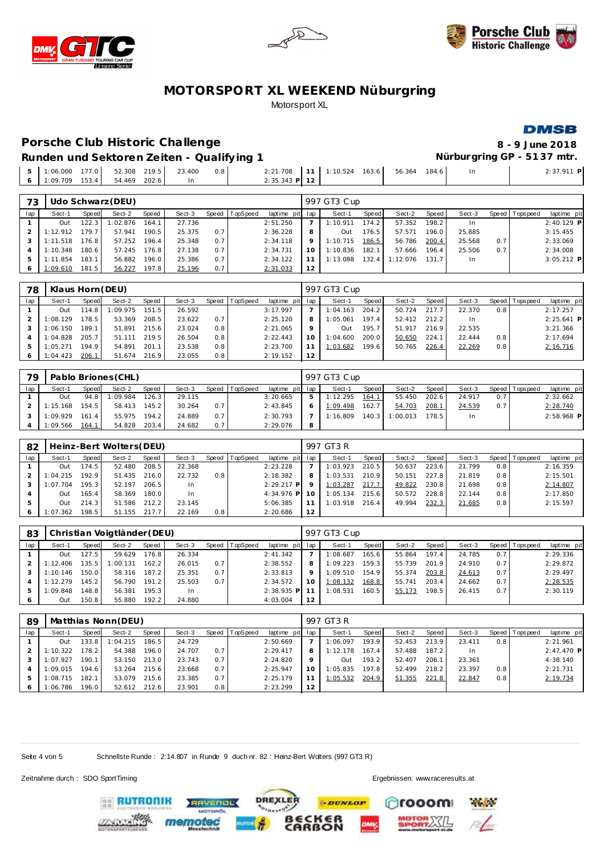





# Porsche Club Historic Challenge **8** - 9 June 2018

**DMSB** 

**Runden und Sektoren Ze iten - Qualify ing 1 Nürburgring GP - 51 37 mtr.**

| 0.0001           | 177.0 | 52.308 219.5<br>. | 23.400 | 0.8 | 2:21.708       | 1:10.524 | 163.6 | 56.364 | 184.6 | In | $2:37.911$ P |
|------------------|-------|-------------------|--------|-----|----------------|----------|-------|--------|-------|----|--------------|
| $1:09.709$ 153.4 |       | 54.469 202.6      |        |     | 2:35.343 PI 12 |          |       |        |       |    |              |
|                  |       |                   |        |     |                |          |       |        |       |    |              |

| 73  |          |                    | Udo Schwarz (DEU) |       |        |       |          |             |     | 997 GT3 Cup |              |          |       |           |         |            |              |
|-----|----------|--------------------|-------------------|-------|--------|-------|----------|-------------|-----|-------------|--------------|----------|-------|-----------|---------|------------|--------------|
| lap | Sect-1   | Speed              | Sect-2            | Speed | Sect-3 | Speed | TopSpeed | laptime pit | lap | Sect-1      | <b>Speed</b> | Sect-2   | Speed | Sect-3    | Speed I | Tops pee d | laptime pit  |
|     | Out      | 122.3              | 1:02.876          | 164.1 | 27.736 |       |          | 2:51.250    |     | 1:10.911    | 174.2        | 57.352   | 198.2 | <b>In</b> |         |            | $2:40.129$ P |
|     | 1:12.912 | 179.7 <sub>1</sub> | 57.941            | 190.5 | 25.375 | 0.7   |          | 2:36.228    | 8   | Out         | 176.5        | 57.571   | 196.0 | 25.885    |         |            | 3:15.455     |
|     | 1:11.518 | 176.8              | 57.252            | 196.4 | 25.348 | 0.7   |          | 2:34.118    | Q   | 1:10.715    | 186.5        | 56.786   | 200.4 | 25.568    | 0.7     |            | 2:33.069     |
|     | 1:10.348 | 180.6              | 57.245            | 176.8 | 27.138 | 0.7   |          | 2:34.731    | 10  | 1:10.836    | 182.1        | 57.666   | 196.4 | 25.506    | 0.7     |            | 2:34.008     |
|     | 1:11.854 | 183.1              | 56.882            | 196.0 | 25.386 | 0.7   |          | 2:34.122    |     | 1:13.088    | 132.4        | 1:12.076 | 131.7 | <b>In</b> |         |            | $3:05.212$ P |
|     | 1:09.610 | 181.5              | 56.227            | 197.8 | 25.196 | 0.7   |          | 2:31.033    | 12  |             |              |          |       |           |         |            |              |

| 78  | Klaus Horn (DEU) |       |          |       |        |       |          |                 |    | 997 GT3 Cup |                    |        |       |        |     |                |              |
|-----|------------------|-------|----------|-------|--------|-------|----------|-----------------|----|-------------|--------------------|--------|-------|--------|-----|----------------|--------------|
| lap | Sect-1           | Speed | Sect-2   | Speed | Sect-3 | Speed | TopSpeed | laptime pit lap |    | Sect-1      | Speed              | Sect-2 | Speed | Sect-3 |     | Speed Topspeed | laptime pit  |
|     | Out              | 114.8 | 1:09.975 | 151.5 | 26.592 |       |          | 3:17.997        |    | 1:04.163    | 204.2              | 50.724 | 217.7 | 22.370 | 0.8 |                | 2:17.257     |
|     | 1:08.129         | 178.5 | 53.369   | 208.5 | 23.622 | 0.7   |          | 2:25.120        | 8  | 1:05.061    | 197.4              | 52.412 | 212.2 | In.    |     |                | $2:25.641$ P |
|     | 1:06.150         | 189.1 | 51.891   | 215.6 | 23.024 | 0.8   |          | 2:21.065        |    | Out         | 195.7              | 51.917 | 216.9 | 22.535 |     |                | 3:21.366     |
|     | 1:04.828         | 205.7 | 51.111   | 219.5 | 26.504 | 0.8   |          | 2:22.443        | 10 | 1:04.600    | 200.0              | 50.650 | 224.1 | 22.444 | 0.8 |                | 2:17.694     |
|     | 1:05.271         | 194.9 | 54.891   | 201.1 | 23.538 | 0.8   |          | 2:23.700        |    | 1:03.682    | 199.6 <sub>1</sub> | 50.765 | 226.4 | 22.269 | 0.8 |                | 2:16.716     |
|     | 1:04.423         | 206.7 | 51.674   | 216.9 | 23.055 | 0.8   |          | 2:19.152        | 12 |             |                    |        |       |        |     |                |              |

| 79  |          | Pablo Briones (CHL) |          |       |        | 997 GT3 Cup |                |                 |   |          |       |          |        |        |     |                 |              |
|-----|----------|---------------------|----------|-------|--------|-------------|----------------|-----------------|---|----------|-------|----------|--------|--------|-----|-----------------|--------------|
| lap | Sect-1   | Speed               | Sect-2   | Speed | Sect-3 |             | Speed TopSpeed | laptime pit lap |   | Sect-1   | Speed | Sect-2   | Speed  | Sect-3 |     | Speed Tops peed | laptime pit  |
|     | Out      | 94.8                | 1:09.984 | 126.3 | 29.115 |             |                | 3:20.665        | ь | 1:12.295 | 164.1 | 55.450   | 202.61 | 24.917 | 0.7 |                 | 2:32.662     |
|     | 1:15.168 | 154.5               | 58.413   | 145.2 | 30.264 | 0.7         |                | 2:43.845        | O | 1:09.498 | 162.7 | 54.703   | 208.1  | 24.539 | 0.7 |                 | 2:28.740     |
|     | 1:09.929 | 161.4               | 55.975   | 194.2 | 24.889 | 0.7         |                | 2:30.793        |   | 1:16.809 | 140.3 | 1:00.013 | 178.5  | In.    |     |                 | $2:58.968$ P |
|     | 1:09.566 | 164.1               | 54.828   | 203.4 | 24.682 | 0.7         |                | 2:29.076        | 8 |          |       |          |        |        |     |                 |              |

| 82  |          |       | Heinz-Bert Wolters(DEU) |       |        |     |                |              |         | 997 GT3 R |       |        |       |        |     |                |             |
|-----|----------|-------|-------------------------|-------|--------|-----|----------------|--------------|---------|-----------|-------|--------|-------|--------|-----|----------------|-------------|
| lap | Sect-1   | Speed | Sect-2                  | Speed | Sect-3 |     | Speed TopSpeed | laptime pit  | lap     | Sect-1    | Speed | Sect-2 | Speed | Sect-3 |     | Speed Topspeed | laptime pit |
|     | Out      | 174.5 | 52.480                  | 208.5 | 22.368 |     |                | 2:23.228     |         | 1:03.923  | 210.5 | 50.637 | 223.6 | 21.799 | 0.8 |                | 2:16.359    |
|     | : 04.215 | 192.9 | 51.435                  | 216.0 | 22.732 | 0.8 |                | 2:18.382     | 8       | 1:03.531  | 210.9 | 50.151 | 227.8 | 21.819 | 0.8 |                | 2:15.501    |
|     | : 07.704 | 195.3 | 52.197                  | 206.5 | In.    |     |                | $2:29.217$ P | $\circ$ | 1:03.287  | 217.7 | 49.822 | 230.8 | 21.698 | 0.8 |                | 2:14.807    |
|     | Out      | 165.4 | 58.369                  | 180.0 | In.    |     |                | $4:34.976$ P | 10      | 1:05.134  | 215.6 | 50.572 | 228.8 | 22.144 | 0.8 |                | 2:17.850    |
| 5   | Out      | 214.3 | 51.586                  | 212.2 | 23.145 |     |                | 5:06.385     |         | 1:03.918  | 216.4 | 49.994 | 232.3 | 21.685 | 0.8 |                | 2:15.597    |
| 6   | : 07.362 | 198.5 | 51.155                  | 217.7 | 22.169 | 0.8 |                | 2:20.686     | 12      |           |       |        |       |        |     |                |             |

| 83  |          |       | Christian Voigtländer (DEU) |       |        |       |          |                 |    | 997 GT3 Cup |       |        |       |        |     |                |             |
|-----|----------|-------|-----------------------------|-------|--------|-------|----------|-----------------|----|-------------|-------|--------|-------|--------|-----|----------------|-------------|
| lap | Sect-1   | Speed | Sect-2                      | Speed | Sect-3 | Speed | TopSpeed | laptime pit lap |    | Sect-1      | Speed | Sect-2 | Speed | Sect-3 |     | Speed Topspeed | laptime pit |
|     | Out      | 127.5 | 59.629                      | 176.8 | 26.334 |       |          | 2:41.342        |    | 1:08.687    | 165.6 | 55.864 | 197.4 | 24.785 | 0.7 |                | 2:29.336    |
|     | 1:12.406 | 135.5 | 1:00.131                    | 162.2 | 26.015 | 0.7   |          | 2:38.552        | 8  | 1:09.223    | 159.3 | 55.739 | 201.9 | 24.910 | 0.7 |                | 2:29.872    |
|     | 1:10.146 | 150.0 | 58.316                      | 187.2 | 25.351 | 0.7   |          | 2:33.813        |    | 1:09.510    | 154.9 | 55.374 | 203.8 | 24.613 | 0.7 |                | 2:29.497    |
|     | 1:12.279 | 145.2 | 56.790                      | 191.2 | 25.503 | 0.7   |          | 2:34.572        | 10 | 1:08.132    | 168.8 | 55.741 | 203.4 | 24.662 | 0.7 |                | 2:28.535    |
|     | 1:09.848 | 148.8 | 56.381                      | 195.3 | In.    |       |          | $2:38.935$ P    |    | 1:08.531    | 160.5 | 55.173 | 198.5 | 26.415 | 0.7 |                | 2:30.119    |
|     | Out      | 150.8 | 55.880                      | 192.2 | 24.880 |       |          | 4:03.004        | 12 |             |       |        |       |        |     |                |             |

| 89  |          |       | Matthias Nonn (DEU) |       |        |     |                |                 |    | 997 GT3 R |       |        |       |        |     |                |              |
|-----|----------|-------|---------------------|-------|--------|-----|----------------|-----------------|----|-----------|-------|--------|-------|--------|-----|----------------|--------------|
| lap | Sect-1   | Speed | Sect-2              | Speed | Sect-3 |     | Speed TopSpeed | laptime pit lap |    | Sect-1    | Speed | Sect-2 | Speed | Sect-3 |     | Speed Topspeed | laptime pit  |
|     | Out      | 133.8 | 1:04.215            | 186.5 | 24.729 |     |                | 2:50.669        |    | 1:06.097  | 193.9 | 52.453 | 213.9 | 23.411 | 0.8 |                | 2:21.961     |
|     | 1:10.322 | 78.2  | 54.388              | 196.0 | 24.707 | 0.7 |                | 2:29.417        | 8  | 1:12.178  | 167.4 | 57.488 | 187.2 | In.    |     |                | $2:47.470$ P |
|     | 1:07.927 | 190.1 | 53.150              | 213.0 | 23.743 | 0.7 |                | 2:24.820        | 9  | Out       | 193.2 | 52.407 | 206.1 | 23.361 |     |                | 4:38.140     |
|     | :09.015  | 194.6 | 53.264              | 215.6 | 23.668 | 0.7 |                | 2:25.947        | 10 | 1:05.835  | 197.8 | 52.499 | 218.2 | 23.397 | 0.8 |                | 2:21.731     |
| -5  | : 08.715 | 182.1 | 53.079              | 215.6 | 23.385 | 0.7 |                | 2:25.179        | 11 | 1:05.532  | 204.9 | 51.355 | 221.8 | 22.847 | 0.8 |                | 2:19.734     |
| 6   | 1:06.786 | 196.0 | 52.612              | 212.6 | 23.901 | 0.8 |                | 2:23.299        | 12 |           |       |        |       |        |     |                |              |

Seite 4 von 5 Schnellste Runde : 2:14.807 in Runde 9 duch nr. 82 : Heinz-Bert Wolters (997 GT3 R)

Zeitnahme durch : SDO SportTiming Ergebnissen: [www.raceresults.a](www.raceresults.at)t



**DREXLER PDUNLOP** 

ັ6R<br>ON

rooom **Physical**